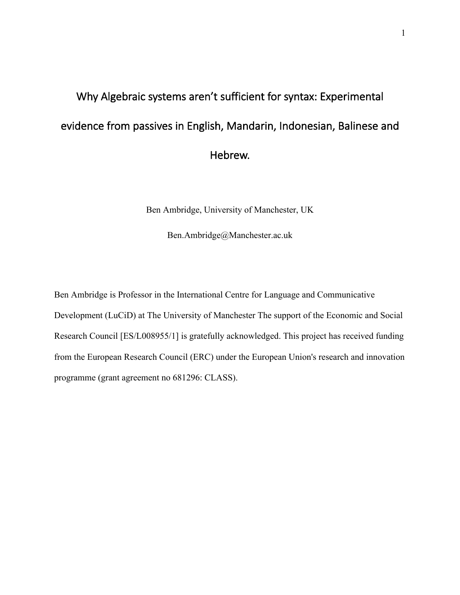# Why Algebraic systems aren't sufficient for syntax: Experimental evidence from passives in English, Mandarin, Indonesian, Balinese and Hebrew.

Ben Ambridge, University of Manchester, UK

Ben.Ambridge@Manchester.ac.uk

Ben Ambridge is Professor in the International Centre for Language and Communicative Development (LuCiD) at The University of Manchester The support of the Economic and Social Research Council [ES/L008955/1] is gratefully acknowledged. This project has received funding from the European Research Council (ERC) under the European Union's research and innovation programme (grant agreement no 681296: CLASS).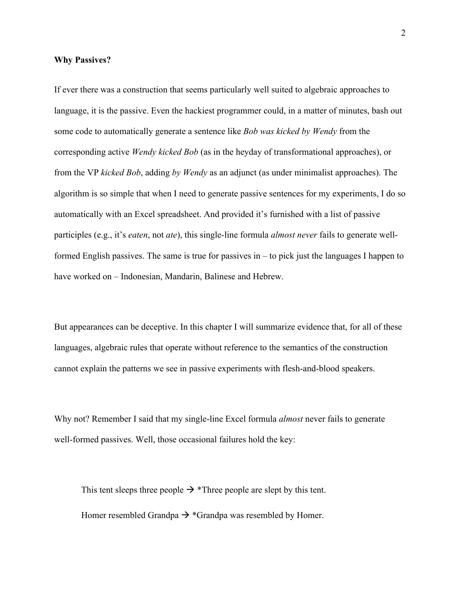#### **Why Passives?**

If ever there was a construction that seems particularly well suited to algebraic approaches to language, it is the passive. Even the hackiest programmer could, in a matter of minutes, bash out some code to automatically generate a sentence like *Bob was kicked by Wendy* from the corresponding active *Wendy kicked Bob* (as in the heyday of transformational approaches), or from the VP *kicked Bob*, adding *by Wendy* as an adjunct (as under minimalist approaches). The algorithm is so simple that when I need to generate passive sentences for my experiments, I do so automatically with an Excel spreadsheet. And provided it's furnished with a list of passive participles (e.g., it's *eaten*, not *ate*), this single-line formula *almost never* fails to generate wellformed English passives. The same is true for passives in – to pick just the languages I happen to have worked on – Indonesian, Mandarin, Balinese and Hebrew.

But appearances can be deceptive. In this chapter I will summarize evidence that, for all of these languages, algebraic rules that operate without reference to the semantics of the construction cannot explain the patterns we see in passive experiments with flesh-and-blood speakers.

Why not? Remember I said that my single-line Excel formula *almost* never fails to generate well-formed passives. Well, those occasional failures hold the key:

This tent sleeps three people  $\rightarrow$  \*Three people are slept by this tent. Homer resembled Grandpa  $\rightarrow$  \*Grandpa was resembled by Homer.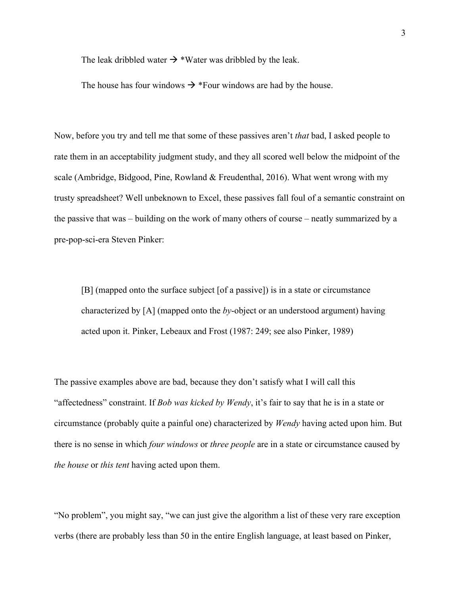The leak dribbled water  $\rightarrow$  \*Water was dribbled by the leak.

The house has four windows  $\rightarrow$  \*Four windows are had by the house.

Now, before you try and tell me that some of these passives aren't *that* bad, I asked people to rate them in an acceptability judgment study, and they all scored well below the midpoint of the scale (Ambridge, Bidgood, Pine, Rowland & Freudenthal, 2016). What went wrong with my trusty spreadsheet? Well unbeknown to Excel, these passives fall foul of a semantic constraint on the passive that was – building on the work of many others of course – neatly summarized by a pre-pop-sci-era Steven Pinker:

[B] (mapped onto the surface subject [of a passive]) is in a state or circumstance characterized by [A] (mapped onto the *by*-object or an understood argument) having acted upon it. Pinker, Lebeaux and Frost (1987: 249; see also Pinker, 1989)

The passive examples above are bad, because they don't satisfy what I will call this "affectedness" constraint. If *Bob was kicked by Wendy*, it's fair to say that he is in a state or circumstance (probably quite a painful one) characterized by *Wendy* having acted upon him. But there is no sense in which *four windows* or *three people* are in a state or circumstance caused by *the house* or *this tent* having acted upon them.

"No problem", you might say, "we can just give the algorithm a list of these very rare exception verbs (there are probably less than 50 in the entire English language, at least based on Pinker,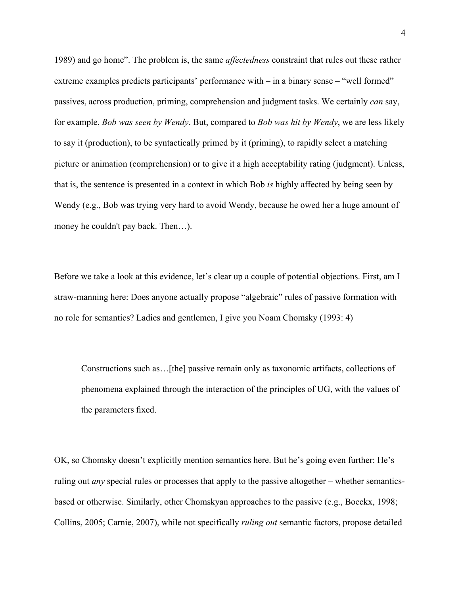1989) and go home". The problem is, the same *affectedness* constraint that rules out these rather extreme examples predicts participants' performance with – in a binary sense – "well formed" passives, across production, priming, comprehension and judgment tasks. We certainly *can* say, for example, *Bob was seen by Wendy*. But, compared to *Bob was hit by Wendy*, we are less likely to say it (production), to be syntactically primed by it (priming), to rapidly select a matching picture or animation (comprehension) or to give it a high acceptability rating (judgment). Unless, that is, the sentence is presented in a context in which Bob *is* highly affected by being seen by Wendy (e.g., Bob was trying very hard to avoid Wendy, because he owed her a huge amount of money he couldn't pay back. Then…).

Before we take a look at this evidence, let's clear up a couple of potential objections. First, am I straw-manning here: Does anyone actually propose "algebraic" rules of passive formation with no role for semantics? Ladies and gentlemen, I give you Noam Chomsky (1993: 4)

Constructions such as…[the] passive remain only as taxonomic artifacts, collections of phenomena explained through the interaction of the principles of UG, with the values of the parameters fixed.

OK, so Chomsky doesn't explicitly mention semantics here. But he's going even further: He's ruling out *any* special rules or processes that apply to the passive altogether – whether semanticsbased or otherwise. Similarly, other Chomskyan approaches to the passive (e.g., Boeckx, 1998; Collins, 2005; Carnie, 2007), while not specifically *ruling out* semantic factors, propose detailed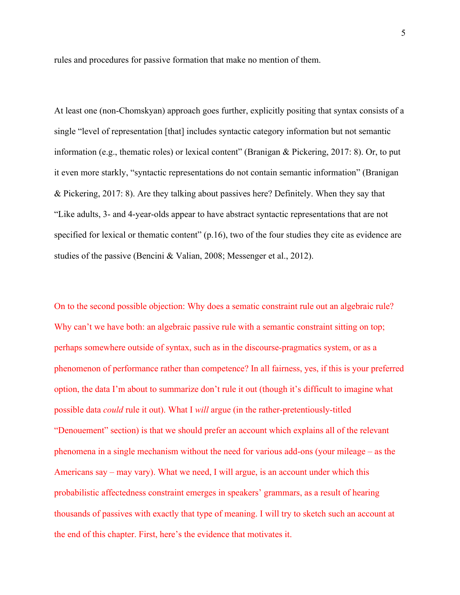rules and procedures for passive formation that make no mention of them.

At least one (non-Chomskyan) approach goes further, explicitly positing that syntax consists of a single "level of representation [that] includes syntactic category information but not semantic information (e.g., thematic roles) or lexical content" (Branigan & Pickering, 2017: 8). Or, to put it even more starkly, "syntactic representations do not contain semantic information" (Branigan & Pickering, 2017: 8). Are they talking about passives here? Definitely. When they say that "Like adults, 3- and 4-year-olds appear to have abstract syntactic representations that are not specified for lexical or thematic content" (p.16), two of the four studies they cite as evidence are studies of the passive (Bencini & Valian, 2008; Messenger et al., 2012).

On to the second possible objection: Why does a sematic constraint rule out an algebraic rule? Why can't we have both: an algebraic passive rule with a semantic constraint sitting on top; perhaps somewhere outside of syntax, such as in the discourse-pragmatics system, or as a phenomenon of performance rather than competence? In all fairness, yes, if this is your preferred option, the data I'm about to summarize don't rule it out (though it's difficult to imagine what possible data *could* rule it out). What I *will* argue (in the rather-pretentiously-titled "Denouement" section) is that we should prefer an account which explains all of the relevant phenomena in a single mechanism without the need for various add-ons (your mileage – as the Americans say – may vary). What we need, I will argue, is an account under which this probabilistic affectedness constraint emerges in speakers' grammars, as a result of hearing thousands of passives with exactly that type of meaning. I will try to sketch such an account at the end of this chapter. First, here's the evidence that motivates it.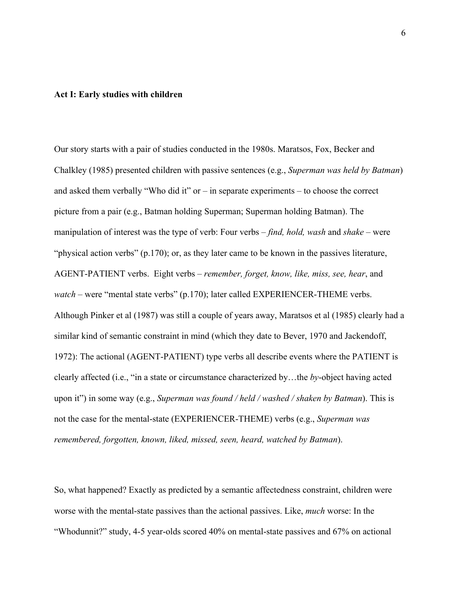#### **Act I: Early studies with children**

Our story starts with a pair of studies conducted in the 1980s. Maratsos, Fox, Becker and Chalkley (1985) presented children with passive sentences (e.g., *Superman was held by Batman*) and asked them verbally "Who did it"  $or - in$  separate experiments – to choose the correct picture from a pair (e.g., Batman holding Superman; Superman holding Batman). The manipulation of interest was the type of verb: Four verbs – *find, hold, wash* and *shake –* were "physical action verbs" (p.170); or, as they later came to be known in the passives literature, AGENT-PATIENT verbs. Eight verbs – *remember, forget, know, like, miss, see, hear*, and *watch* – were "mental state verbs" (p.170); later called EXPERIENCER-THEME verbs. Although Pinker et al (1987) was still a couple of years away, Maratsos et al (1985) clearly had a similar kind of semantic constraint in mind (which they date to Bever, 1970 and Jackendoff, 1972): The actional (AGENT-PATIENT) type verbs all describe events where the PATIENT is clearly affected (i.e., "in a state or circumstance characterized by…the *by*-object having acted upon it") in some way (e.g., *Superman was found / held / washed / shaken by Batman*). This is not the case for the mental-state (EXPERIENCER-THEME) verbs (e.g., *Superman was remembered, forgotten, known, liked, missed, seen, heard, watched by Batman*).

So, what happened? Exactly as predicted by a semantic affectedness constraint, children were worse with the mental-state passives than the actional passives. Like, *much* worse: In the "Whodunnit?" study, 4-5 year-olds scored 40% on mental-state passives and 67% on actional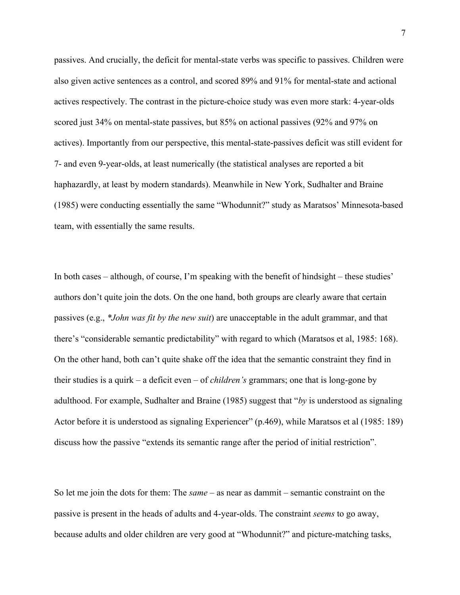passives. And crucially, the deficit for mental-state verbs was specific to passives. Children were also given active sentences as a control, and scored 89% and 91% for mental-state and actional actives respectively. The contrast in the picture-choice study was even more stark: 4-year-olds scored just 34% on mental-state passives, but 85% on actional passives (92% and 97% on actives). Importantly from our perspective, this mental-state-passives deficit was still evident for 7- and even 9-year-olds, at least numerically (the statistical analyses are reported a bit haphazardly, at least by modern standards). Meanwhile in New York, Sudhalter and Braine (1985) were conducting essentially the same "Whodunnit?" study as Maratsos' Minnesota-based team, with essentially the same results.

In both cases – although, of course, I'm speaking with the benefit of hindsight – these studies' authors don't quite join the dots. On the one hand, both groups are clearly aware that certain passives (e.g., *\*John was fit by the new suit*) are unacceptable in the adult grammar, and that there's "considerable semantic predictability" with regard to which (Maratsos et al, 1985: 168). On the other hand, both can't quite shake off the idea that the semantic constraint they find in their studies is a quirk – a deficit even – of *children's* grammars; one that is long-gone by adulthood. For example, Sudhalter and Braine (1985) suggest that "*by* is understood as signaling Actor before it is understood as signaling Experiencer" (p.469), while Maratsos et al (1985: 189) discuss how the passive "extends its semantic range after the period of initial restriction".

So let me join the dots for them: The *same* – as near as dammit – semantic constraint on the passive is present in the heads of adults and 4-year-olds. The constraint *seems* to go away, because adults and older children are very good at "Whodunnit?" and picture-matching tasks,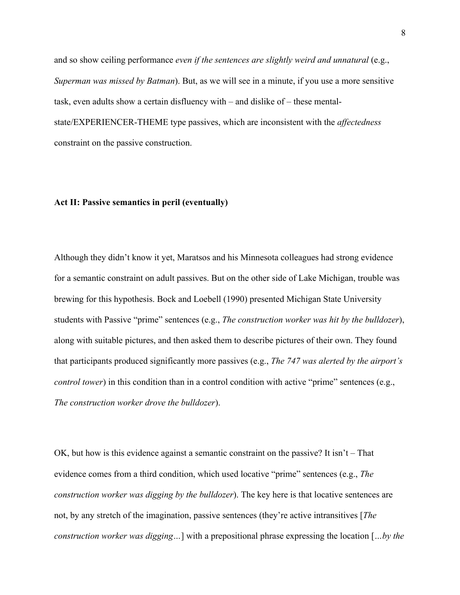and so show ceiling performance *even if the sentences are slightly weird and unnatural* (e.g., *Superman was missed by Batman*). But, as we will see in a minute, if you use a more sensitive task, even adults show a certain disfluency with – and dislike of – these mentalstate/EXPERIENCER-THEME type passives, which are inconsistent with the *affectedness* constraint on the passive construction.

## **Act II: Passive semantics in peril (eventually)**

Although they didn't know it yet, Maratsos and his Minnesota colleagues had strong evidence for a semantic constraint on adult passives. But on the other side of Lake Michigan, trouble was brewing for this hypothesis. Bock and Loebell (1990) presented Michigan State University students with Passive "prime" sentences (e.g., *The construction worker was hit by the bulldozer*), along with suitable pictures, and then asked them to describe pictures of their own. They found that participants produced significantly more passives (e.g., *The 747 was alerted by the airport's control tower*) in this condition than in a control condition with active "prime" sentences (e.g., *The construction worker drove the bulldozer*).

OK, but how is this evidence against a semantic constraint on the passive? It isn't – That evidence comes from a third condition, which used locative "prime" sentences (e.g., *The construction worker was digging by the bulldozer*). The key here is that locative sentences are not, by any stretch of the imagination, passive sentences (they're active intransitives [*The construction worker was digging…*] with a prepositional phrase expressing the location [*…by the*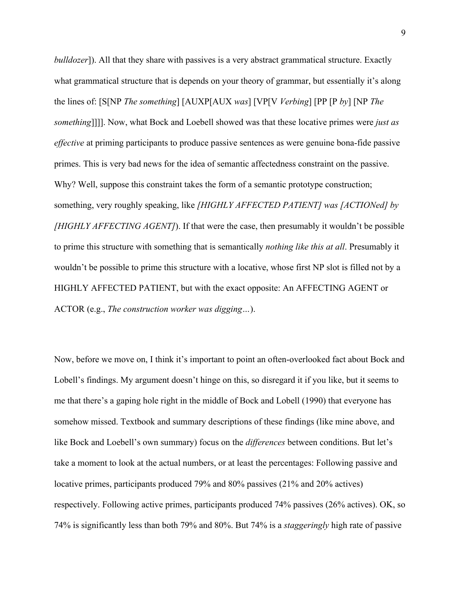*bulldozer*]). All that they share with passives is a very abstract grammatical structure. Exactly what grammatical structure that is depends on your theory of grammar, but essentially it's along the lines of: [S[NP *The something*] [AUXP[AUX *was*] [VP[V *Verbing*] [PP [P *by*] [NP *The something*]]]]. Now, what Bock and Loebell showed was that these locative primes were *just as effective* at priming participants to produce passive sentences as were genuine bona-fide passive primes. This is very bad news for the idea of semantic affectedness constraint on the passive. Why? Well, suppose this constraint takes the form of a semantic prototype construction; something, very roughly speaking, like *[HIGHLY AFFECTED PATIENT] was [ACTIONed] by [HIGHLY AFFECTING AGENT]*). If that were the case, then presumably it wouldn't be possible to prime this structure with something that is semantically *nothing like this at all*. Presumably it wouldn't be possible to prime this structure with a locative, whose first NP slot is filled not by a HIGHLY AFFECTED PATIENT, but with the exact opposite: An AFFECTING AGENT or ACTOR (e.g., *The construction worker was digging…*).

Now, before we move on, I think it's important to point an often-overlooked fact about Bock and Lobell's findings. My argument doesn't hinge on this, so disregard it if you like, but it seems to me that there's a gaping hole right in the middle of Bock and Lobell (1990) that everyone has somehow missed. Textbook and summary descriptions of these findings (like mine above, and like Bock and Loebell's own summary) focus on the *differences* between conditions. But let's take a moment to look at the actual numbers, or at least the percentages: Following passive and locative primes, participants produced 79% and 80% passives (21% and 20% actives) respectively. Following active primes, participants produced 74% passives (26% actives). OK, so 74% is significantly less than both 79% and 80%. But 74% is a *staggeringly* high rate of passive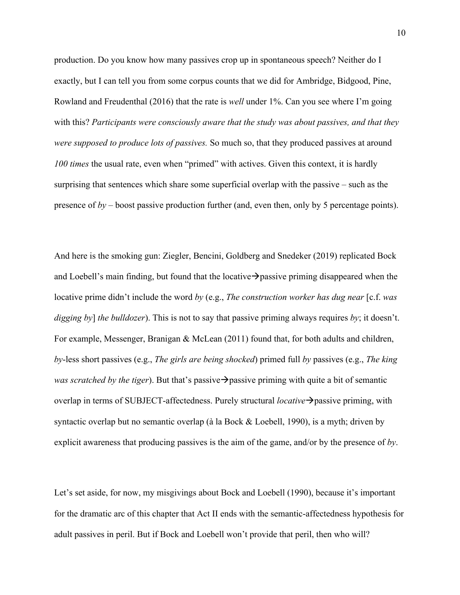production. Do you know how many passives crop up in spontaneous speech? Neither do I exactly, but I can tell you from some corpus counts that we did for Ambridge, Bidgood, Pine, Rowland and Freudenthal (2016) that the rate is *well* under 1%. Can you see where I'm going with this? *Participants were consciously aware that the study was about passives, and that they were supposed to produce lots of passives.* So much so, that they produced passives at around *100 times* the usual rate, even when "primed" with actives. Given this context, it is hardly surprising that sentences which share some superficial overlap with the passive – such as the presence of *by* – boost passive production further (and, even then, only by 5 percentage points).

And here is the smoking gun: Ziegler, Bencini, Goldberg and Snedeker (2019) replicated Bock and Loebell's main finding, but found that the locative  $\rightarrow$  passive priming disappeared when the locative prime didn't include the word *by* (e.g., *The construction worker has dug near* [c.f. *was digging by*] *the bulldozer*). This is not to say that passive priming always requires *by*; it doesn't. For example, Messenger, Branigan & McLean (2011) found that, for both adults and children, *by*-less short passives (e.g., *The girls are being shocked*) primed full *by* passives (e.g., *The king was scratched by the tiger*). But that's passive  $\rightarrow$  passive priming with quite a bit of semantic overlap in terms of SUBJECT-affectedness. Purely structural *locative*  $\rightarrow$  passive priming, with syntactic overlap but no semantic overlap (à la Bock & Loebell, 1990), is a myth; driven by explicit awareness that producing passives is the aim of the game, and/or by the presence of *by*.

Let's set aside, for now, my misgivings about Bock and Loebell (1990), because it's important for the dramatic arc of this chapter that Act II ends with the semantic-affectedness hypothesis for adult passives in peril. But if Bock and Loebell won't provide that peril, then who will?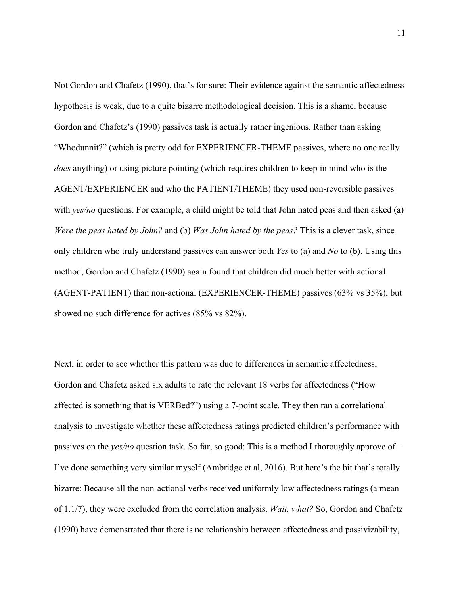Not Gordon and Chafetz (1990), that's for sure: Their evidence against the semantic affectedness hypothesis is weak, due to a quite bizarre methodological decision. This is a shame, because Gordon and Chafetz's (1990) passives task is actually rather ingenious. Rather than asking "Whodunnit?" (which is pretty odd for EXPERIENCER-THEME passives, where no one really *does* anything) or using picture pointing (which requires children to keep in mind who is the AGENT/EXPERIENCER and who the PATIENT/THEME) they used non-reversible passives with *yes/no* questions. For example, a child might be told that John hated peas and then asked (a) *Were the peas hated by John?* and (b) *Was John hated by the peas?* This is a clever task, since only children who truly understand passives can answer both *Yes* to (a) and *No* to (b). Using this method, Gordon and Chafetz (1990) again found that children did much better with actional (AGENT-PATIENT) than non-actional (EXPERIENCER-THEME) passives (63% vs 35%), but showed no such difference for actives (85% vs 82%).

Next, in order to see whether this pattern was due to differences in semantic affectedness, Gordon and Chafetz asked six adults to rate the relevant 18 verbs for affectedness ("How affected is something that is VERBed?") using a 7-point scale. They then ran a correlational analysis to investigate whether these affectedness ratings predicted children's performance with passives on the *yes/no* question task. So far, so good: This is a method I thoroughly approve of – I've done something very similar myself (Ambridge et al, 2016). But here's the bit that's totally bizarre: Because all the non-actional verbs received uniformly low affectedness ratings (a mean of 1.1/7), they were excluded from the correlation analysis. *Wait, what?* So, Gordon and Chafetz (1990) have demonstrated that there is no relationship between affectedness and passivizability,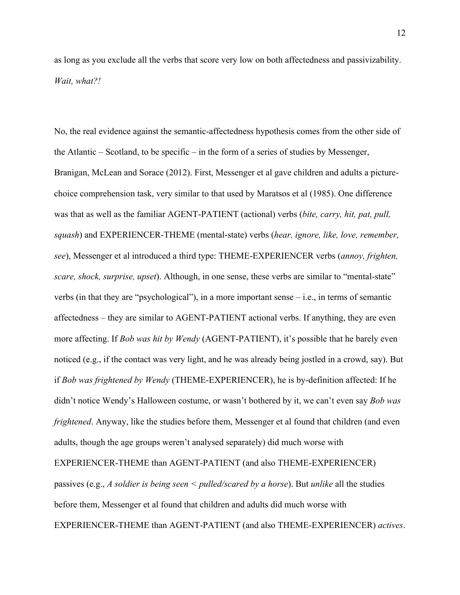as long as you exclude all the verbs that score very low on both affectedness and passivizability. *Wait, what?!*

No, the real evidence against the semantic-affectedness hypothesis comes from the other side of the Atlantic – Scotland, to be specific – in the form of a series of studies by Messenger, Branigan, McLean and Sorace (2012). First, Messenger et al gave children and adults a picturechoice comprehension task, very similar to that used by Maratsos et al (1985). One difference was that as well as the familiar AGENT-PATIENT (actional) verbs (*bite, carry, hit, pat, pull, squash*) and EXPERIENCER-THEME (mental-state) verbs (*hear, ignore, like, love, remember, see*), Messenger et al introduced a third type: THEME-EXPERIENCER verbs (*annoy, frighten, scare, shock, surprise, upset*). Although, in one sense, these verbs are similar to "mental-state" verbs (in that they are "psychological"), in a more important sense – i.e., in terms of semantic affectedness – they are similar to AGENT-PATIENT actional verbs. If anything, they are even more affecting. If *Bob was hit by Wendy* (AGENT-PATIENT), it's possible that he barely even noticed (e.g., if the contact was very light, and he was already being jostled in a crowd, say). But if *Bob was frightened by Wendy* (THEME-EXPERIENCER), he is by-definition affected: If he didn't notice Wendy's Halloween costume, or wasn't bothered by it, we can't even say *Bob was frightened*. Anyway, like the studies before them, Messenger et al found that children (and even adults, though the age groups weren't analysed separately) did much worse with

EXPERIENCER-THEME than AGENT-PATIENT (and also THEME-EXPERIENCER)

passives (e.g., *A soldier is being seen < pulled/scared by a horse*). But *unlike* all the studies before them, Messenger et al found that children and adults did much worse with EXPERIENCER-THEME than AGENT-PATIENT (and also THEME-EXPERIENCER) *actives*.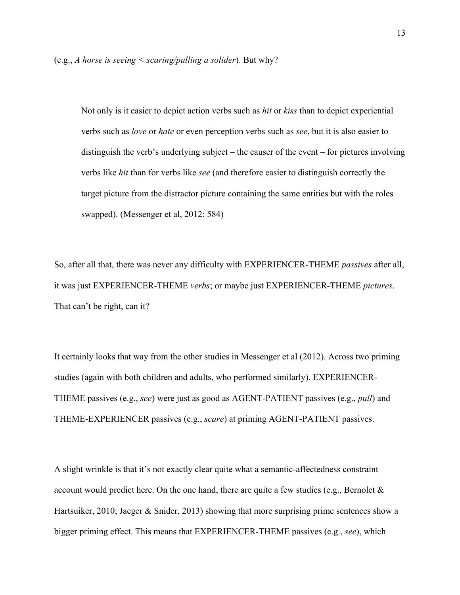Not only is it easier to depict action verbs such as *hit* or *kiss* than to depict experiential verbs such as *love* or *hate* or even perception verbs such as *see*, but it is also easier to distinguish the verb's underlying subject – the causer of the event – for pictures involving verbs like *hit* than for verbs like *see* (and therefore easier to distinguish correctly the target picture from the distractor picture containing the same entities but with the roles swapped). (Messenger et al, 2012: 584)

So, after all that, there was never any difficulty with EXPERIENCER-THEME *passives* after all, it was just EXPERIENCER-THEME *verbs*; or maybe just EXPERIENCER-THEME *pictures*. That can't be right, can it?

It certainly looks that way from the other studies in Messenger et al (2012). Across two priming studies (again with both children and adults, who performed similarly), EXPERIENCER-THEME passives (e.g., *see*) were just as good as AGENT-PATIENT passives (e.g., *pull*) and THEME-EXPERIENCER passives (e.g., *scare*) at priming AGENT-PATIENT passives.

A slight wrinkle is that it's not exactly clear quite what a semantic-affectedness constraint account would predict here. On the one hand, there are quite a few studies (e.g., Bernolet  $\&$ Hartsuiker, 2010; Jaeger & Snider, 2013) showing that more surprising prime sentences show a bigger priming effect. This means that EXPERIENCER-THEME passives (e.g., *see*), which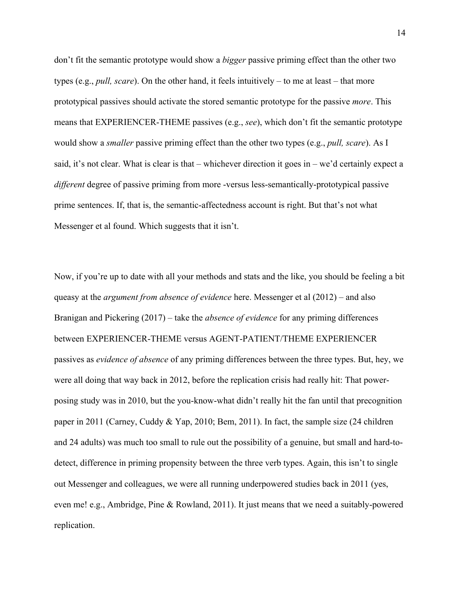don't fit the semantic prototype would show a *bigger* passive priming effect than the other two types (e.g., *pull, scare*). On the other hand, it feels intuitively – to me at least – that more prototypical passives should activate the stored semantic prototype for the passive *more*. This means that EXPERIENCER-THEME passives (e.g., *see*), which don't fit the semantic prototype would show a *smaller* passive priming effect than the other two types (e.g., *pull, scare*). As I said, it's not clear. What is clear is that – whichever direction it goes in – we'd certainly expect a *different* degree of passive priming from more -versus less-semantically-prototypical passive prime sentences. If, that is, the semantic-affectedness account is right. But that's not what Messenger et al found. Which suggests that it isn't.

Now, if you're up to date with all your methods and stats and the like, you should be feeling a bit queasy at the *argument from absence of evidence* here. Messenger et al (2012) – and also Branigan and Pickering (2017) – take the *absence of evidence* for any priming differences between EXPERIENCER-THEME versus AGENT-PATIENT/THEME EXPERIENCER passives as *evidence of absence* of any priming differences between the three types. But, hey, we were all doing that way back in 2012, before the replication crisis had really hit: That powerposing study was in 2010, but the you-know-what didn't really hit the fan until that precognition paper in 2011 (Carney, Cuddy & Yap, 2010; Bem, 2011). In fact, the sample size (24 children and 24 adults) was much too small to rule out the possibility of a genuine, but small and hard-todetect, difference in priming propensity between the three verb types. Again, this isn't to single out Messenger and colleagues, we were all running underpowered studies back in 2011 (yes, even me! e.g., Ambridge, Pine & Rowland, 2011). It just means that we need a suitably-powered replication.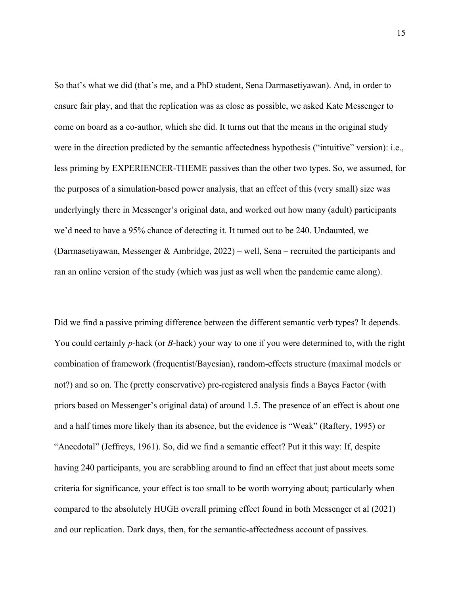So that's what we did (that's me, and a PhD student, Sena Darmasetiyawan). And, in order to ensure fair play, and that the replication was as close as possible, we asked Kate Messenger to come on board as a co-author, which she did. It turns out that the means in the original study were in the direction predicted by the semantic affectedness hypothesis ("intuitive" version): i.e., less priming by EXPERIENCER-THEME passives than the other two types. So, we assumed, for the purposes of a simulation-based power analysis, that an effect of this (very small) size was underlyingly there in Messenger's original data, and worked out how many (adult) participants we'd need to have a 95% chance of detecting it. It turned out to be 240. Undaunted, we (Darmasetiyawan, Messenger & Ambridge, 2022) – well, Sena – recruited the participants and ran an online version of the study (which was just as well when the pandemic came along).

Did we find a passive priming difference between the different semantic verb types? It depends. You could certainly *p*-hack (or *B*-hack) your way to one if you were determined to, with the right combination of framework (frequentist/Bayesian), random-effects structure (maximal models or not?) and so on. The (pretty conservative) pre-registered analysis finds a Bayes Factor (with priors based on Messenger's original data) of around 1.5. The presence of an effect is about one and a half times more likely than its absence, but the evidence is "Weak" (Raftery, 1995) or "Anecdotal" (Jeffreys, 1961). So, did we find a semantic effect? Put it this way: If, despite having 240 participants, you are scrabbling around to find an effect that just about meets some criteria for significance, your effect is too small to be worth worrying about; particularly when compared to the absolutely HUGE overall priming effect found in both Messenger et al (2021) and our replication. Dark days, then, for the semantic-affectedness account of passives.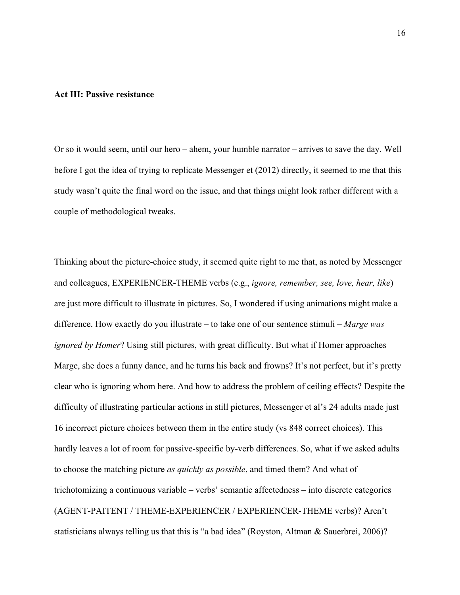#### **Act III: Passive resistance**

Or so it would seem, until our hero – ahem, your humble narrator – arrives to save the day. Well before I got the idea of trying to replicate Messenger et (2012) directly, it seemed to me that this study wasn't quite the final word on the issue, and that things might look rather different with a couple of methodological tweaks.

Thinking about the picture-choice study, it seemed quite right to me that, as noted by Messenger and colleagues, EXPERIENCER-THEME verbs (e.g., *ignore, remember, see, love, hear, like*) are just more difficult to illustrate in pictures. So, I wondered if using animations might make a difference. How exactly do you illustrate – to take one of our sentence stimuli – *Marge was ignored by Homer*? Using still pictures, with great difficulty. But what if Homer approaches Marge, she does a funny dance, and he turns his back and frowns? It's not perfect, but it's pretty clear who is ignoring whom here. And how to address the problem of ceiling effects? Despite the difficulty of illustrating particular actions in still pictures, Messenger et al's 24 adults made just 16 incorrect picture choices between them in the entire study (vs 848 correct choices). This hardly leaves a lot of room for passive-specific by-verb differences. So, what if we asked adults to choose the matching picture *as quickly as possible*, and timed them? And what of trichotomizing a continuous variable – verbs' semantic affectedness – into discrete categories (AGENT-PAITENT / THEME-EXPERIENCER / EXPERIENCER-THEME verbs)? Aren't statisticians always telling us that this is "a bad idea" (Royston, Altman & Sauerbrei, 2006)?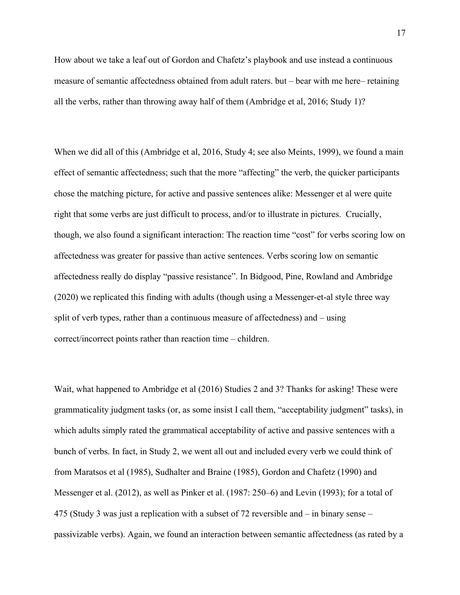How about we take a leaf out of Gordon and Chafetz's playbook and use instead a continuous measure of semantic affectedness obtained from adult raters. but – bear with me here– retaining all the verbs, rather than throwing away half of them (Ambridge et al, 2016; Study 1)?

When we did all of this (Ambridge et al, 2016, Study 4; see also Meints, 1999), we found a main effect of semantic affectedness; such that the more "affecting" the verb, the quicker participants chose the matching picture, for active and passive sentences alike: Messenger et al were quite right that some verbs are just difficult to process, and/or to illustrate in pictures. Crucially, though, we also found a significant interaction: The reaction time "cost" for verbs scoring low on affectedness was greater for passive than active sentences. Verbs scoring low on semantic affectedness really do display "passive resistance". In Bidgood, Pine, Rowland and Ambridge (2020) we replicated this finding with adults (though using a Messenger-et-al style three way split of verb types, rather than a continuous measure of affectedness) and – using correct/incorrect points rather than reaction time – children.

Wait, what happened to Ambridge et al (2016) Studies 2 and 3? Thanks for asking! These were grammaticality judgment tasks (or, as some insist I call them, "acceptability judgment" tasks), in which adults simply rated the grammatical acceptability of active and passive sentences with a bunch of verbs. In fact, in Study 2, we went all out and included every verb we could think of from Maratsos et al (1985), Sudhalter and Braine (1985), Gordon and Chafetz (1990) and Messenger et al. (2012), as well as Pinker et al. (1987: 250–6) and Levin (1993); for a total of 475 (Study 3 was just a replication with a subset of 72 reversible and – in binary sense – passivizable verbs). Again, we found an interaction between semantic affectedness (as rated by a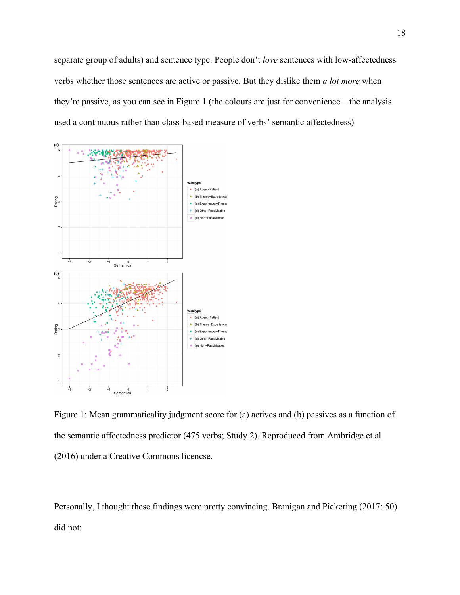separate group of adults) and sentence type: People don't *love* sentences with low-affectedness verbs whether those sentences are active or passive. But they dislike them *a lot more* when they're passive, as you can see in Figure 1 (the colours are just for convenience – the analysis used a continuous rather than class-based measure of verbs' semantic affectedness)



Figure 1: Mean grammaticality judgment score for (a) actives and (b) passives as a function of the semantic affectedness predictor (475 verbs; Study 2). Reproduced from Ambridge et al (2016) under a Creative Commons licencse.

Personally, I thought these findings were pretty convincing. Branigan and Pickering (2017: 50) did not: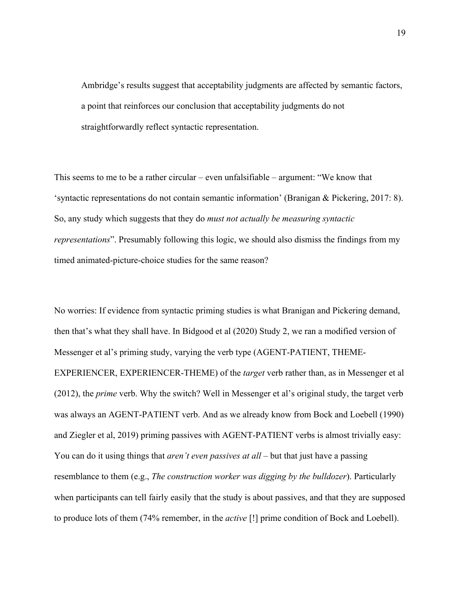Ambridge's results suggest that acceptability judgments are affected by semantic factors, a point that reinforces our conclusion that acceptability judgments do not straightforwardly reflect syntactic representation.

This seems to me to be a rather circular – even unfalsifiable – argument: "We know that 'syntactic representations do not contain semantic information' (Branigan & Pickering, 2017: 8). So, any study which suggests that they do *must not actually be measuring syntactic representations*". Presumably following this logic, we should also dismiss the findings from my timed animated-picture-choice studies for the same reason?

No worries: If evidence from syntactic priming studies is what Branigan and Pickering demand, then that's what they shall have. In Bidgood et al (2020) Study 2, we ran a modified version of Messenger et al's priming study, varying the verb type (AGENT-PATIENT, THEME-EXPERIENCER, EXPERIENCER-THEME) of the *target* verb rather than, as in Messenger et al (2012), the *prime* verb. Why the switch? Well in Messenger et al's original study, the target verb was always an AGENT-PATIENT verb. And as we already know from Bock and Loebell (1990) and Ziegler et al, 2019) priming passives with AGENT-PATIENT verbs is almost trivially easy: You can do it using things that *aren't even passives at all* – but that just have a passing resemblance to them (e.g., *The construction worker was digging by the bulldozer*). Particularly when participants can tell fairly easily that the study is about passives, and that they are supposed to produce lots of them (74% remember, in the *active* [!] prime condition of Bock and Loebell).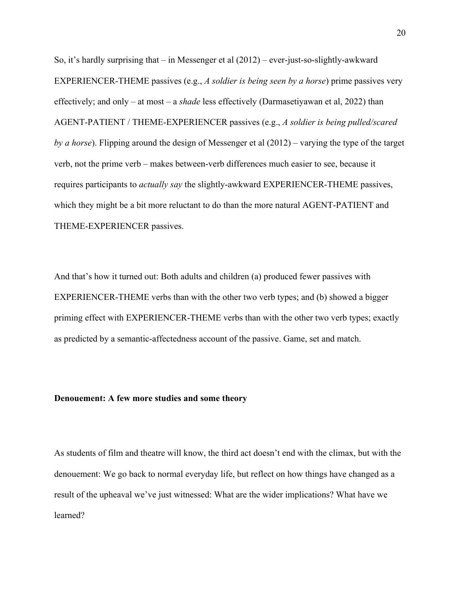So, it's hardly surprising that – in Messenger et al (2012) – ever-just-so-slightly-awkward EXPERIENCER-THEME passives (e.g., *A soldier is being seen by a horse*) prime passives very effectively; and only – at most – a *shade* less effectively (Darmasetiyawan et al, 2022) than AGENT-PATIENT / THEME-EXPERIENCER passives (e.g., *A soldier is being pulled/scared by a horse*). Flipping around the design of Messenger et al (2012) – varying the type of the target verb, not the prime verb – makes between-verb differences much easier to see, because it requires participants to *actually say* the slightly-awkward EXPERIENCER-THEME passives, which they might be a bit more reluctant to do than the more natural AGENT-PATIENT and THEME-EXPERIENCER passives.

And that's how it turned out: Both adults and children (a) produced fewer passives with EXPERIENCER-THEME verbs than with the other two verb types; and (b) showed a bigger priming effect with EXPERIENCER-THEME verbs than with the other two verb types; exactly as predicted by a semantic-affectedness account of the passive. Game, set and match.

# **Denouement: A few more studies and some theory**

As students of film and theatre will know, the third act doesn't end with the climax, but with the denouement: We go back to normal everyday life, but reflect on how things have changed as a result of the upheaval we've just witnessed: What are the wider implications? What have we learned?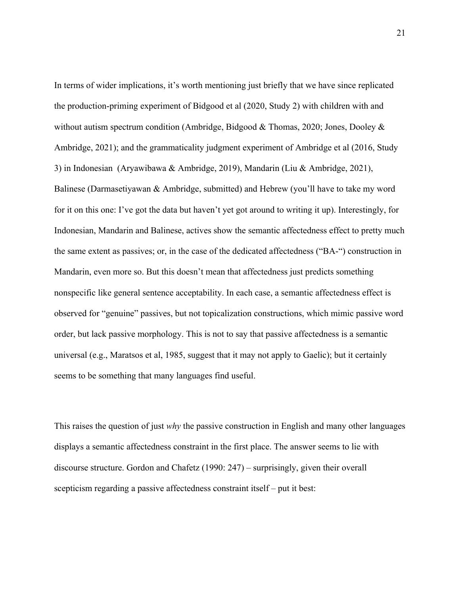In terms of wider implications, it's worth mentioning just briefly that we have since replicated the production-priming experiment of Bidgood et al (2020, Study 2) with children with and without autism spectrum condition (Ambridge, Bidgood & Thomas, 2020; Jones, Dooley & Ambridge, 2021); and the grammaticality judgment experiment of Ambridge et al (2016, Study 3) in Indonesian (Aryawibawa & Ambridge, 2019), Mandarin (Liu & Ambridge, 2021), Balinese (Darmasetiyawan & Ambridge, submitted) and Hebrew (you'll have to take my word for it on this one: I've got the data but haven't yet got around to writing it up). Interestingly, for Indonesian, Mandarin and Balinese, actives show the semantic affectedness effect to pretty much the same extent as passives; or, in the case of the dedicated affectedness ("BA-") construction in Mandarin, even more so. But this doesn't mean that affectedness just predicts something nonspecific like general sentence acceptability. In each case, a semantic affectedness effect is observed for "genuine" passives, but not topicalization constructions, which mimic passive word order, but lack passive morphology. This is not to say that passive affectedness is a semantic universal (e.g., Maratsos et al, 1985, suggest that it may not apply to Gaelic); but it certainly seems to be something that many languages find useful.

This raises the question of just *why* the passive construction in English and many other languages displays a semantic affectedness constraint in the first place. The answer seems to lie with discourse structure. Gordon and Chafetz (1990: 247) – surprisingly, given their overall scepticism regarding a passive affectedness constraint itself – put it best: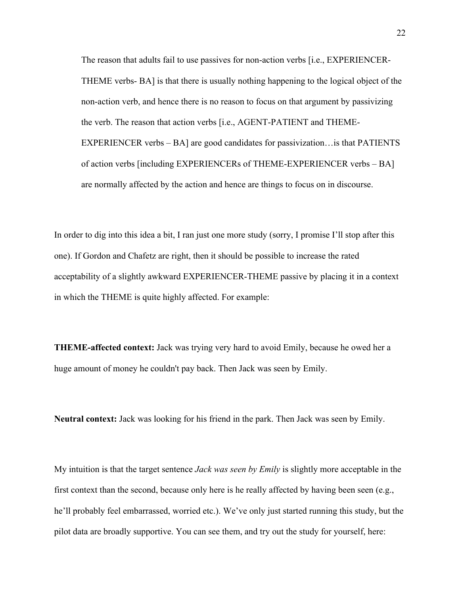The reason that adults fail to use passives for non-action verbs [i.e., EXPERIENCER-THEME verbs- BA] is that there is usually nothing happening to the logical object of the non-action verb, and hence there is no reason to focus on that argument by passivizing the verb. The reason that action verbs [i.e., AGENT-PATIENT and THEME-EXPERIENCER verbs – BA] are good candidates for passivization…is that PATIENTS of action verbs [including EXPERIENCERs of THEME-EXPERIENCER verbs – BA] are normally affected by the action and hence are things to focus on in discourse.

In order to dig into this idea a bit, I ran just one more study (sorry, I promise I'll stop after this one). If Gordon and Chafetz are right, then it should be possible to increase the rated acceptability of a slightly awkward EXPERIENCER-THEME passive by placing it in a context in which the THEME is quite highly affected. For example:

**THEME-affected context:** Jack was trying very hard to avoid Emily, because he owed her a huge amount of money he couldn't pay back. Then Jack was seen by Emily.

**Neutral context:** Jack was looking for his friend in the park. Then Jack was seen by Emily.

My intuition is that the target sentence *Jack was seen by Emily* is slightly more acceptable in the first context than the second, because only here is he really affected by having been seen (e.g., he'll probably feel embarrassed, worried etc.). We've only just started running this study, but the pilot data are broadly supportive. You can see them, and try out the study for yourself, here: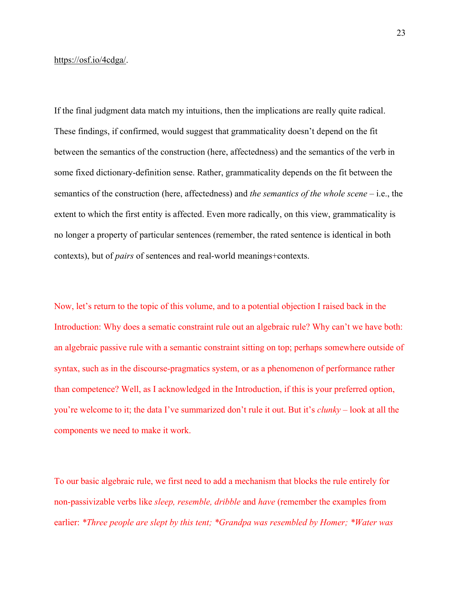#### https://osf.io/4cdga/.

If the final judgment data match my intuitions, then the implications are really quite radical. These findings, if confirmed, would suggest that grammaticality doesn't depend on the fit between the semantics of the construction (here, affectedness) and the semantics of the verb in some fixed dictionary-definition sense. Rather, grammaticality depends on the fit between the semantics of the construction (here, affectedness) and *the semantics of the whole scene* – i.e., the extent to which the first entity is affected. Even more radically, on this view, grammaticality is no longer a property of particular sentences (remember, the rated sentence is identical in both contexts), but of *pairs* of sentences and real-world meanings+contexts.

Now, let's return to the topic of this volume, and to a potential objection I raised back in the Introduction: Why does a sematic constraint rule out an algebraic rule? Why can't we have both: an algebraic passive rule with a semantic constraint sitting on top; perhaps somewhere outside of syntax, such as in the discourse-pragmatics system, or as a phenomenon of performance rather than competence? Well, as I acknowledged in the Introduction, if this is your preferred option, you're welcome to it; the data I've summarized don't rule it out. But it's *clunky* – look at all the components we need to make it work.

To our basic algebraic rule, we first need to add a mechanism that blocks the rule entirely for non-passivizable verbs like *sleep, resemble, dribble* and *have* (remember the examples from earlier: *\*Three people are slept by this tent; \*Grandpa was resembled by Homer; \*Water was*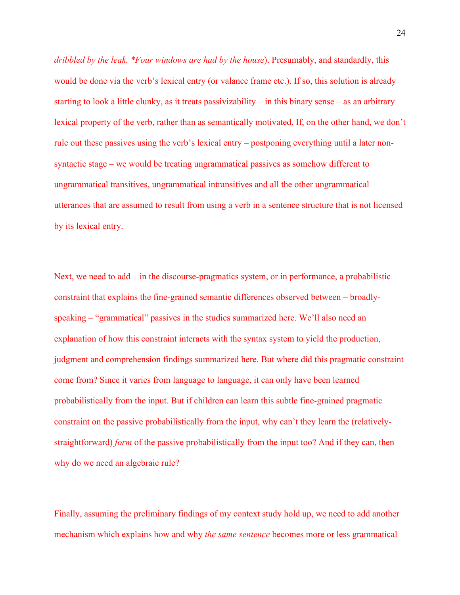*dribbled by the leak. \*Four windows are had by the house*). Presumably, and standardly, this would be done via the verb's lexical entry (or valance frame etc.). If so, this solution is already starting to look a little clunky, as it treats passivizability – in this binary sense – as an arbitrary lexical property of the verb, rather than as semantically motivated. If, on the other hand, we don't rule out these passives using the verb's lexical entry – postponing everything until a later nonsyntactic stage – we would be treating ungrammatical passives as somehow different to ungrammatical transitives, ungrammatical intransitives and all the other ungrammatical utterances that are assumed to result from using a verb in a sentence structure that is not licensed by its lexical entry.

Next, we need to add – in the discourse-pragmatics system, or in performance, a probabilistic constraint that explains the fine-grained semantic differences observed between – broadlyspeaking – "grammatical" passives in the studies summarized here. We'll also need an explanation of how this constraint interacts with the syntax system to yield the production, judgment and comprehension findings summarized here. But where did this pragmatic constraint come from? Since it varies from language to language, it can only have been learned probabilistically from the input. But if children can learn this subtle fine-grained pragmatic constraint on the passive probabilistically from the input, why can't they learn the (relativelystraightforward) *form* of the passive probabilistically from the input too? And if they can, then why do we need an algebraic rule?

Finally, assuming the preliminary findings of my context study hold up, we need to add another mechanism which explains how and why *the same sentence* becomes more or less grammatical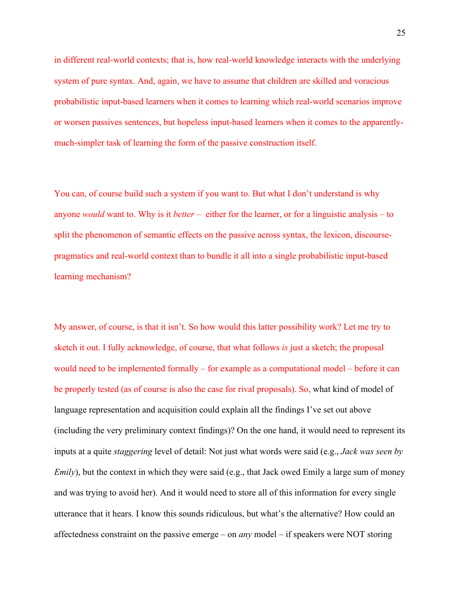in different real-world contexts; that is, how real-world knowledge interacts with the underlying system of pure syntax. And, again, we have to assume that children are skilled and voracious probabilistic input-based learners when it comes to learning which real-world scenarios improve or worsen passives sentences, but hopeless input-based learners when it comes to the apparentlymuch-simpler task of learning the form of the passive construction itself.

You can, of course build such a system if you want to. But what I don't understand is why anyone *would* want to. Why is it *better* – either for the learner, or for a linguistic analysis – to split the phenomenon of semantic effects on the passive across syntax, the lexicon, discoursepragmatics and real-world context than to bundle it all into a single probabilistic input-based learning mechanism?

My answer, of course, is that it isn't. So how would this latter possibility work? Let me try to sketch it out. I fully acknowledge, of course, that what follows *is* just a sketch; the proposal would need to be implemented formally – for example as a computational model – before it can be properly tested (as of course is also the case for rival proposals). So, what kind of model of language representation and acquisition could explain all the findings I've set out above (including the very preliminary context findings)? On the one hand, it would need to represent its inputs at a quite *staggering* level of detail: Not just what words were said (e.g., *Jack was seen by Emily*), but the context in which they were said (e.g., that Jack owed Emily a large sum of money and was trying to avoid her). And it would need to store all of this information for every single utterance that it hears. I know this sounds ridiculous, but what's the alternative? How could an affectedness constraint on the passive emerge – on *any* model – if speakers were NOT storing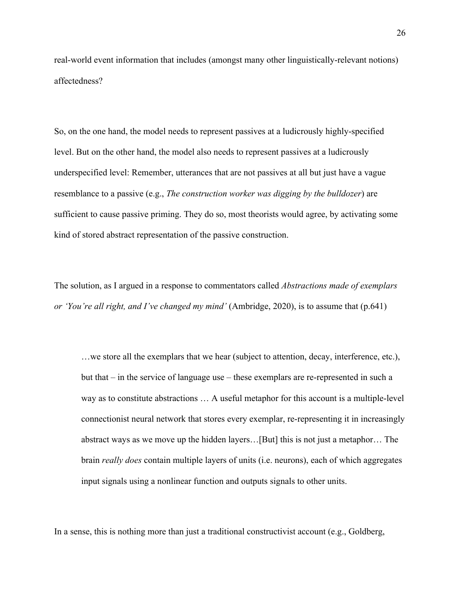real-world event information that includes (amongst many other linguistically-relevant notions) affectedness?

So, on the one hand, the model needs to represent passives at a ludicrously highly-specified level. But on the other hand, the model also needs to represent passives at a ludicrously underspecified level: Remember, utterances that are not passives at all but just have a vague resemblance to a passive (e.g., *The construction worker was digging by the bulldozer*) are sufficient to cause passive priming. They do so, most theorists would agree, by activating some kind of stored abstract representation of the passive construction.

The solution, as I argued in a response to commentators called *Abstractions made of exemplars or 'You're all right, and I've changed my mind'* (Ambridge, 2020), is to assume that (p.641)

…we store all the exemplars that we hear (subject to attention, decay, interference, etc.), but that – in the service of language use – these exemplars are re-represented in such a way as to constitute abstractions … A useful metaphor for this account is a multiple-level connectionist neural network that stores every exemplar, re-representing it in increasingly abstract ways as we move up the hidden layers…[But] this is not just a metaphor… The brain *really does* contain multiple layers of units (i.e. neurons), each of which aggregates input signals using a nonlinear function and outputs signals to other units.

In a sense, this is nothing more than just a traditional constructivist account (e.g., Goldberg,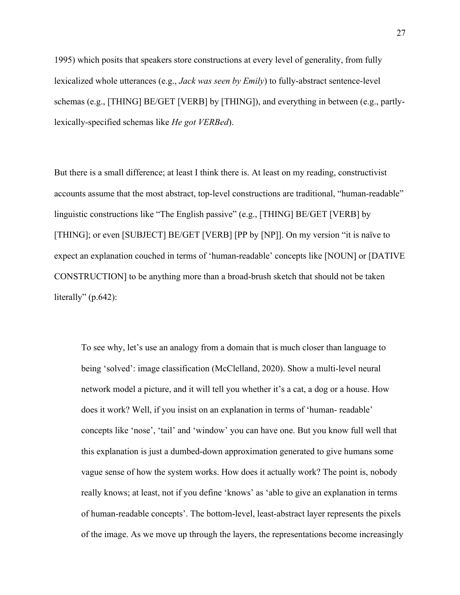1995) which posits that speakers store constructions at every level of generality, from fully lexicalized whole utterances (e.g., *Jack was seen by Emily*) to fully-abstract sentence-level schemas (e.g., [THING] BE/GET [VERB] by [THING]), and everything in between (e.g., partlylexically-specified schemas like *He got VERBed*).

But there is a small difference; at least I think there is. At least on my reading, constructivist accounts assume that the most abstract, top-level constructions are traditional, "human-readable" linguistic constructions like "The English passive" (e.g., [THING] BE/GET [VERB] by [THING]; or even [SUBJECT] BE/GET [VERB] [PP by [NP]]. On my version "it is naïve to expect an explanation couched in terms of 'human-readable' concepts like [NOUN] or [DATIVE CONSTRUCTION] to be anything more than a broad-brush sketch that should not be taken literally"  $(p.642)$ :

To see why, let's use an analogy from a domain that is much closer than language to being 'solved': image classification (McClelland, 2020). Show a multi-level neural network model a picture, and it will tell you whether it's a cat, a dog or a house. How does it work? Well, if you insist on an explanation in terms of 'human- readable' concepts like 'nose', 'tail' and 'window' you can have one. But you know full well that this explanation is just a dumbed-down approximation generated to give humans some vague sense of how the system works. How does it actually work? The point is, nobody really knows; at least, not if you define 'knows' as 'able to give an explanation in terms of human-readable concepts'. The bottom-level, least-abstract layer represents the pixels of the image. As we move up through the layers, the representations become increasingly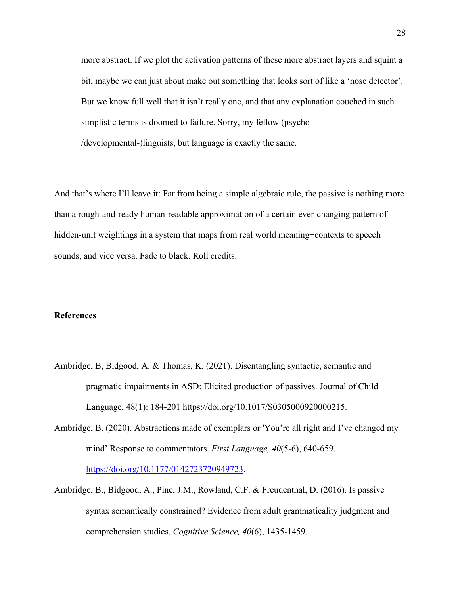more abstract. If we plot the activation patterns of these more abstract layers and squint a bit, maybe we can just about make out something that looks sort of like a 'nose detector'. But we know full well that it isn't really one, and that any explanation couched in such simplistic terms is doomed to failure. Sorry, my fellow (psycho- /developmental-)linguists, but language is exactly the same.

And that's where I'll leave it: Far from being a simple algebraic rule, the passive is nothing more than a rough-and-ready human-readable approximation of a certain ever-changing pattern of hidden-unit weightings in a system that maps from real world meaning+contexts to speech sounds, and vice versa. Fade to black. Roll credits:

### **References**

- Ambridge, B, Bidgood, A. & Thomas, K. (2021). Disentangling syntactic, semantic and pragmatic impairments in ASD: Elicited production of passives. Journal of Child Language, 48(1): 184-201 https://doi.org/10.1017/S0305000920000215.
- Ambridge, B. (2020). Abstractions made of exemplars or 'You're all right and I've changed my mind' Response to commentators. *First Language, 40*(5-6), 640-659. https://doi.org/10.1177/0142723720949723.
- Ambridge, B., Bidgood, A., Pine, J.M., Rowland, C.F. & Freudenthal, D. (2016). Is passive syntax semantically constrained? Evidence from adult grammaticality judgment and comprehension studies. *Cognitive Science, 40*(6), 1435-1459.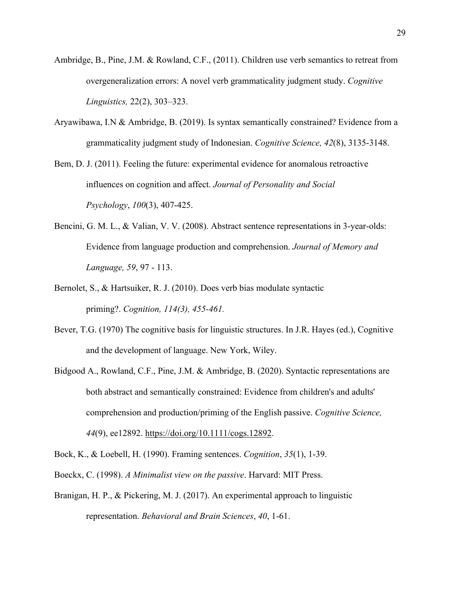- Ambridge, B., Pine, J.M. & Rowland, C.F., (2011). Children use verb semantics to retreat from overgeneralization errors: A novel verb grammaticality judgment study. *Cognitive Linguistics,* 22(2), 303–323.
- Aryawibawa, I.N & Ambridge, B. (2019). Is syntax semantically constrained? Evidence from a grammaticality judgment study of Indonesian. *Cognitive Science, 42*(8), 3135-3148.
- Bem, D. J. (2011). Feeling the future: experimental evidence for anomalous retroactive influences on cognition and affect. *Journal of Personality and Social Psychology*, *100*(3), 407-425.
- Bencini, G. M. L., & Valian, V. V. (2008). Abstract sentence representations in 3-year-olds: Evidence from language production and comprehension. *Journal of Memory and Language, 59*, 97 - 113.
- Bernolet, S., & Hartsuiker, R. J. (2010). Does verb bias modulate syntactic priming?. *Cognition, 114(3), 455-461.*
- Bever, T.G. (1970) The cognitive basis for linguistic structures. In J.R. Hayes (ed.), Cognitive and the development of language. New York, Wiley.
- Bidgood A., Rowland, C.F., Pine, J.M. & Ambridge, B. (2020). Syntactic representations are both abstract and semantically constrained: Evidence from children's and adults' comprehension and production/priming of the English passive. *Cognitive Science, 44*(9), ee12892. https://doi.org/10.1111/cogs.12892.
- Bock, K., & Loebell, H. (1990). Framing sentences. *Cognition*, *35*(1), 1-39.
- Boeckx, C. (1998). *A Minimalist view on the passive*. Harvard: MIT Press.
- Branigan, H. P., & Pickering, M. J. (2017). An experimental approach to linguistic representation. *Behavioral and Brain Sciences*, *40*, 1-61.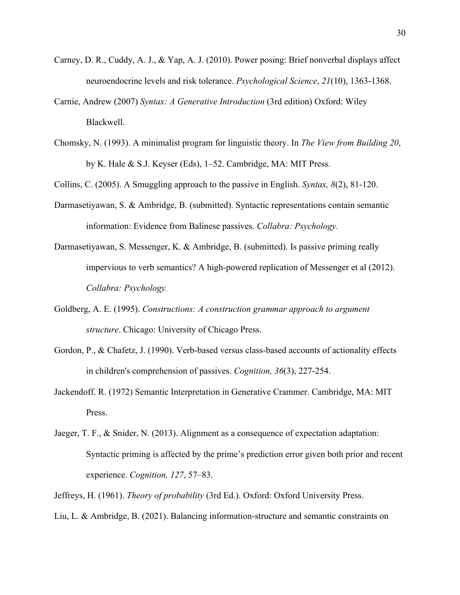- Carney, D. R., Cuddy, A. J., & Yap, A. J. (2010). Power posing: Brief nonverbal displays affect neuroendocrine levels and risk tolerance. *Psychological Science*, *21*(10), 1363-1368.
- Carnie, Andrew (2007) *Syntax: A Generative Introduction* (3rd edition) Oxford: Wiley Blackwell.
- Chomsky, N. (1993). A minimalist program for linguistic theory. In *The View from Building 20*, by K. Hale & S.J. Keyser (Eds), 1–52. Cambridge, MA: MIT Press.

Collins, C. (2005). A Smuggling approach to the passive in English. *Syntax, 8*(2), 81-120.

- Darmasetiyawan, S. & Ambridge, B. (submitted). Syntactic representations contain semantic information: Evidence from Balinese passives. *Collabra: Psychology.*
- Darmasetiyawan, S. Messenger, K. & Ambridge, B. (submitted). Is passive priming really impervious to verb semantics? A high-powered replication of Messenger et al (2012). *Collabra: Psychology.*
- Goldberg, A. E. (1995). *Constructions: A construction grammar approach to argument structure*. Chicago: University of Chicago Press.
- Gordon, P., & Chafetz, J. (1990). Verb-based versus class-based accounts of actionality effects in children's comprehension of passives. *Cognition, 36*(3), 227-254.
- Jackendoff. R. (1972) Semantic Interpretation in Generative Crammer. Cambridge, MA: MIT Press.
- Jaeger, T. F., & Snider, N. (2013). Alignment as a consequence of expectation adaptation: Syntactic priming is affected by the prime's prediction error given both prior and recent experience. *Cognition, 127*, 57–83.
- Jeffreys, H. (1961). *Theory of probability* (3rd Ed.). Oxford: Oxford University Press.
- Liu, L. & Ambridge, B. (2021). Balancing information-structure and semantic constraints on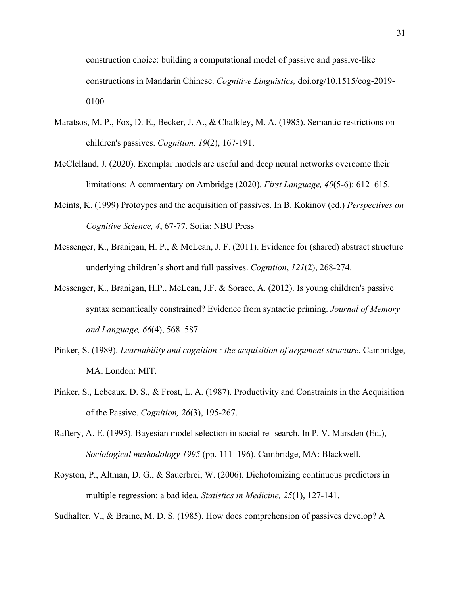construction choice: building a computational model of passive and passive-like constructions in Mandarin Chinese. *Cognitive Linguistics,* doi.org/10.1515/cog-2019- 0100.

- Maratsos, M. P., Fox, D. E., Becker, J. A., & Chalkley, M. A. (1985). Semantic restrictions on children's passives. *Cognition, 19*(2), 167-191.
- McClelland, J. (2020). Exemplar models are useful and deep neural networks overcome their limitations: A commentary on Ambridge (2020). *First Language, 40*(5-6): 612–615.
- Meints, K. (1999) Protoypes and the acquisition of passives. In B. Kokinov (ed.) *Perspectives on Cognitive Science, 4*, 67-77. Sofia: NBU Press
- Messenger, K., Branigan, H. P., & McLean, J. F. (2011). Evidence for (shared) abstract structure underlying children's short and full passives. *Cognition*, *121*(2), 268-274.
- Messenger, K., Branigan, H.P., McLean, J.F. & Sorace, A. (2012). Is young children's passive syntax semantically constrained? Evidence from syntactic priming. *Journal of Memory and Language, 66*(4), 568–587.
- Pinker, S. (1989). *Learnability and cognition : the acquisition of argument structure*. Cambridge, MA; London: MIT.
- Pinker, S., Lebeaux, D. S., & Frost, L. A. (1987). Productivity and Constraints in the Acquisition of the Passive. *Cognition, 26*(3), 195-267.
- Raftery, A. E. (1995). Bayesian model selection in social re- search. In P. V. Marsden (Ed.), *Sociological methodology 1995* (pp. 111–196). Cambridge, MA: Blackwell.
- Royston, P., Altman, D. G., & Sauerbrei, W. (2006). Dichotomizing continuous predictors in multiple regression: a bad idea. *Statistics in Medicine, 25*(1), 127-141.

Sudhalter, V., & Braine, M. D. S. (1985). How does comprehension of passives develop? A